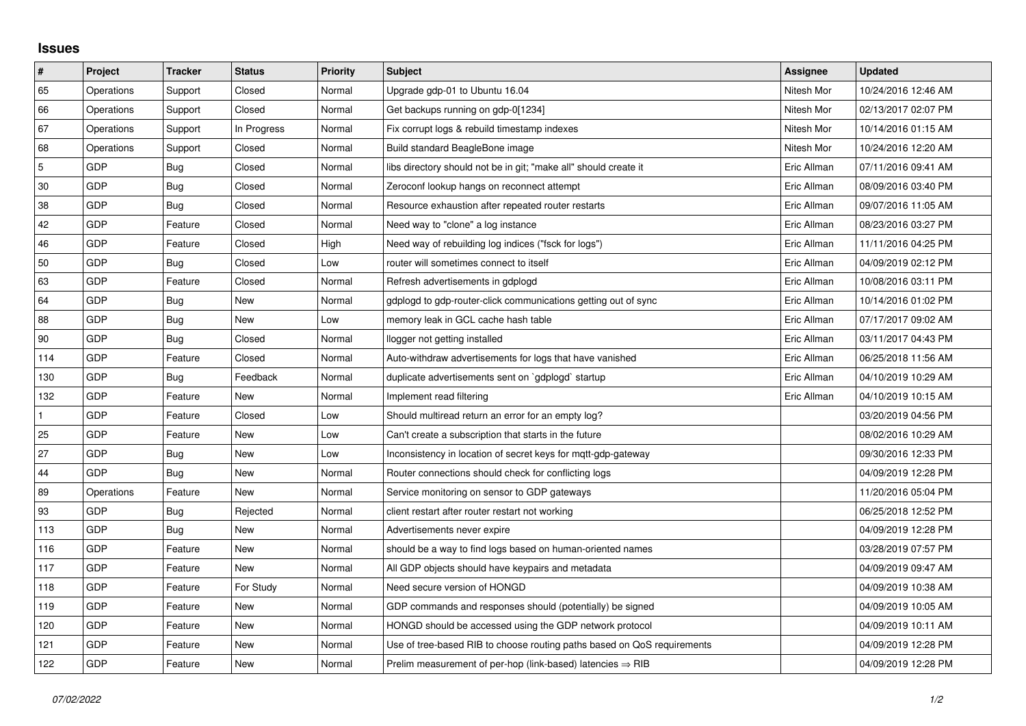## **Issues**

| $\vert$ #      | Project    | <b>Tracker</b> | <b>Status</b> | <b>Priority</b> | <b>Subject</b>                                                          | Assignee    | <b>Updated</b>      |
|----------------|------------|----------------|---------------|-----------------|-------------------------------------------------------------------------|-------------|---------------------|
| 65             | Operations | Support        | Closed        | Normal          | Upgrade gdp-01 to Ubuntu 16.04                                          | Nitesh Mor  | 10/24/2016 12:46 AM |
| 66             | Operations | Support        | Closed        | Normal          | Get backups running on gdp-0[1234]                                      | Nitesh Mor  | 02/13/2017 02:07 PM |
| 67             | Operations | Support        | In Progress   | Normal          | Fix corrupt logs & rebuild timestamp indexes                            | Nitesh Mor  | 10/14/2016 01:15 AM |
| 68             | Operations | Support        | Closed        | Normal          | Build standard BeagleBone image                                         | Nitesh Mor  | 10/24/2016 12:20 AM |
| $\overline{5}$ | GDP        | Bug            | Closed        | Normal          | libs directory should not be in git; "make all" should create it        | Eric Allman | 07/11/2016 09:41 AM |
| 30             | <b>GDP</b> | Bug            | Closed        | Normal          | Zeroconf lookup hangs on reconnect attempt                              | Eric Allman | 08/09/2016 03:40 PM |
| 38             | <b>GDP</b> | Bug            | Closed        | Normal          | Resource exhaustion after repeated router restarts                      | Eric Allman | 09/07/2016 11:05 AM |
| 42             | GDP        | Feature        | Closed        | Normal          | Need way to "clone" a log instance                                      | Eric Allman | 08/23/2016 03:27 PM |
| 46             | <b>GDP</b> | Feature        | Closed        | High            | Need way of rebuilding log indices ("fsck for logs")                    | Eric Allman | 11/11/2016 04:25 PM |
| 50             | <b>GDP</b> | Bug            | Closed        | Low             | router will sometimes connect to itself                                 | Eric Allman | 04/09/2019 02:12 PM |
| 63             | GDP        | Feature        | Closed        | Normal          | Refresh advertisements in gdplogd                                       | Eric Allman | 10/08/2016 03:11 PM |
| 64             | <b>GDP</b> | Bug            | New           | Normal          | gdplogd to gdp-router-click communications getting out of sync          | Eric Allman | 10/14/2016 01:02 PM |
| 88             | GDP        | Bug            | New           | Low             | memory leak in GCL cache hash table                                     | Eric Allman | 07/17/2017 09:02 AM |
| 90             | GDP        | Bug            | Closed        | Normal          | llogger not getting installed                                           | Eric Allman | 03/11/2017 04:43 PM |
| 114            | GDP        | Feature        | Closed        | Normal          | Auto-withdraw advertisements for logs that have vanished                | Eric Allman | 06/25/2018 11:56 AM |
| 130            | <b>GDP</b> | Bug            | Feedback      | Normal          | duplicate advertisements sent on `gdplogd` startup                      | Eric Allman | 04/10/2019 10:29 AM |
| 132            | GDP        | Feature        | <b>New</b>    | Normal          | Implement read filtering                                                | Eric Allman | 04/10/2019 10:15 AM |
|                | <b>GDP</b> | Feature        | Closed        | Low             | Should multiread return an error for an empty log?                      |             | 03/20/2019 04:56 PM |
| 25             | <b>GDP</b> | Feature        | <b>New</b>    | Low             | Can't create a subscription that starts in the future                   |             | 08/02/2016 10:29 AM |
| 27             | GDP        | Bug            | New           | Low             | Inconsistency in location of secret keys for mgtt-gdp-gateway           |             | 09/30/2016 12:33 PM |
| 44             | <b>GDP</b> | Bug            | New           | Normal          | Router connections should check for conflicting logs                    |             | 04/09/2019 12:28 PM |
| 89             | Operations | Feature        | New           | Normal          | Service monitoring on sensor to GDP gateways                            |             | 11/20/2016 05:04 PM |
| 93             | <b>GDP</b> | Bug            | Rejected      | Normal          | client restart after router restart not working                         |             | 06/25/2018 12:52 PM |
| 113            | <b>GDP</b> | Bug            | <b>New</b>    | Normal          | Advertisements never expire                                             |             | 04/09/2019 12:28 PM |
| 116            | <b>GDP</b> | Feature        | <b>New</b>    | Normal          | should be a way to find logs based on human-oriented names              |             | 03/28/2019 07:57 PM |
| 117            | GDP        | Feature        | New           | Normal          | All GDP objects should have keypairs and metadata                       |             | 04/09/2019 09:47 AM |
| 118            | GDP        | Feature        | For Study     | Normal          | Need secure version of HONGD                                            |             | 04/09/2019 10:38 AM |
| 119            | <b>GDP</b> | Feature        | <b>New</b>    | Normal          | GDP commands and responses should (potentially) be signed               |             | 04/09/2019 10:05 AM |
| 120            | GDP        | Feature        | New           | Normal          | HONGD should be accessed using the GDP network protocol                 |             | 04/09/2019 10:11 AM |
| 121            | GDP        | Feature        | New           | Normal          | Use of tree-based RIB to choose routing paths based on QoS requirements |             | 04/09/2019 12:28 PM |
| 122            | GDP        | Feature        | New           | Normal          | Prelim measurement of per-hop (link-based) latencies $\Rightarrow$ RIB  |             | 04/09/2019 12:28 PM |